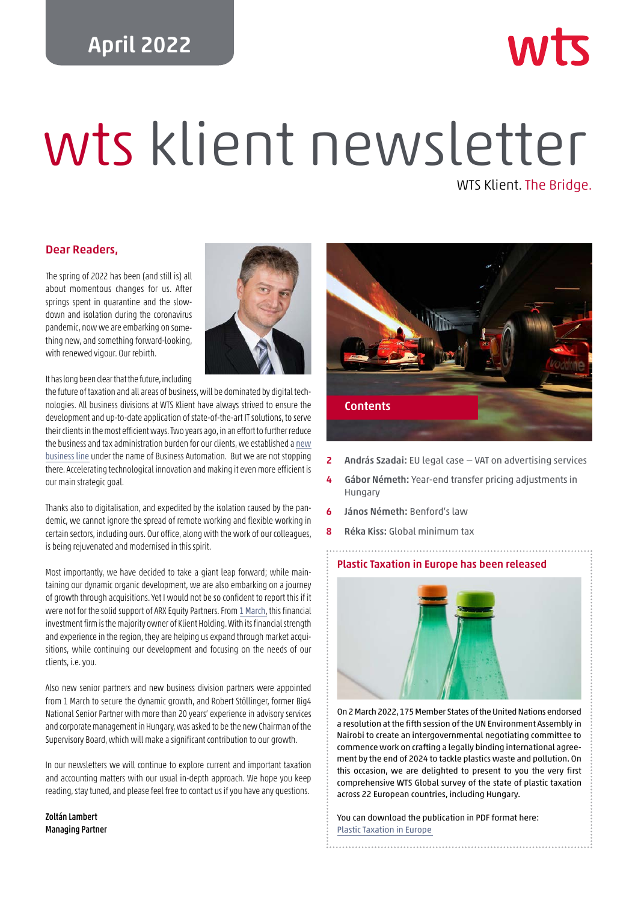## April 2022

# wts klient newsletter WTS Klient. The Bridge.

#### Dear Readers,

The spring of 2022 has been (and still is) all about momentous changes for us. After springs spent in quarantine and the slowdown and isolation during the coronavirus pandemic, now we are embarking on something new, and something forward-looking, with renewed vigour. Our rebirth.



It has long been clear that the future, including

the future of taxation and all areas of business, will be dominated by digital technologies. All business divisions at WTS Klient have always strived to ensure the development and up-to-date application of state-of-the-art IT solutions, to serve their clients in the most efficient ways. Two years ago, in an effort to further reduce the business and tax administration burden for our clients, we established a [new](https://wtsklient.hu/en/2020/02/17/wts-klient-expanding-with-new-business-line/) [business line](https://wtsklient.hu/en/2020/02/17/wts-klient-expanding-with-new-business-line/) under the name of Business Automation. But we are not stopping there. Accelerating technological innovation and making it even more efficient is our main strategic goal.

Thanks also to digitalisation, and expedited by the isolation caused by the pandemic, we cannot ignore the spread of remote working and flexible working in certain sectors, including ours. Our office, along with the work of our colleagues, is being rejuvenated and modernised in this spirit.

Most importantly, we have decided to take a giant leap forward; while maintaining our dynamic organic development, we are also embarking on a journey of growth through acquisitions. Yet I would not be so confident to report this if it were not for the solid support of ARX Equity Partners. From [1 March](https://wtsklient.hu/en/2022/03/01/financial-investor-at-wts-klient/), this financial investment firm is the majority owner of Klient Holding. With its financial strength and experience in the region, they are helping us expand through market acquisitions, while continuing our development and focusing on the needs of our clients, i.e. you.

Also new senior partners and new business division partners were appointed from 1 March to secure the dynamic growth, and Robert Stöllinger, former Big4 National Senior Partner with more than 20 years' experience in advisory services and corporate management in Hungary, was asked to be the new Chairman of the Supervisory Board, which will make a significant contribution to our growth.

In our newsletters we will continue to explore current and important taxation and accounting matters with our usual in-depth approach. We hope you keep reading, stay tuned, and please feel free to contact us if you have any questions.

Zoltán Lambert Managing Partner



- 2 András Szadai: EU legal case VAT on advertising services
- 4 Gábor Németh: Year-end transfer pricing adjustments in Hungary
- 6 János Németh: Benford's law
- 8 Réka Kiss: Global minimum tax

#### [Plastic Taxation in Europe has been released](https://wtsklient.hu/wp-content/uploads/2022/04/wts-plastic-taxation-2022.pdf)



On 2 March 2022, 175 Member States of the United Nations endorsed a resolution at the fifth session of the UN Environment Assembly in Nairobi to create an intergovernmental negotiating committee to commence work on crafting a legally binding international agreement by the end of 2024 to tackle plastics waste and pollution. On this occasion, we are delighted to present to you the very first comprehensive WTS Global survey of the state of plastic taxation across 22 European countries, including Hungary.

You can download the publication in PDF format here: Plastic Taxation in Europe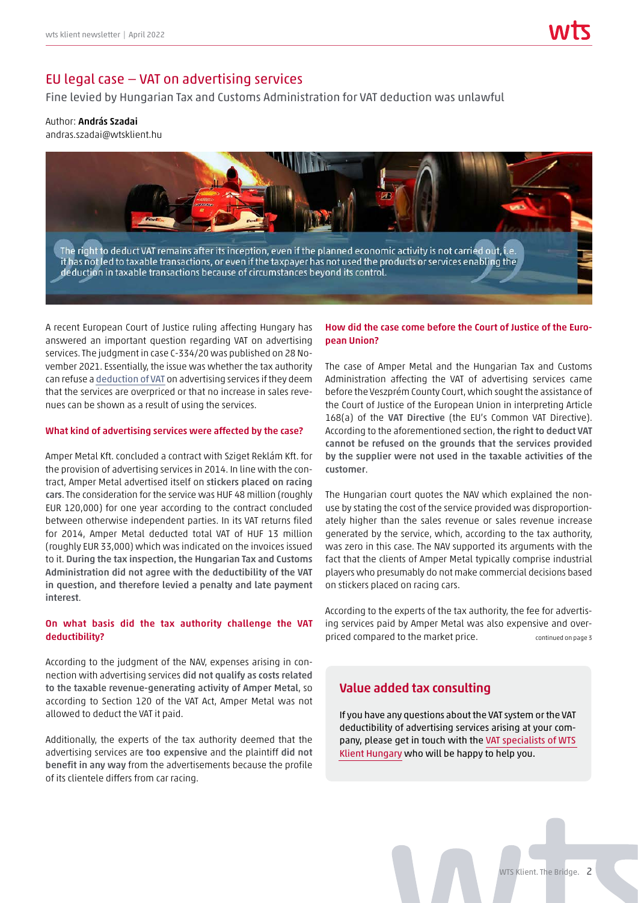## EU legal case — VAT on advertising services

Fine levied by Hungarian Tax and Customs Administration for VAT deduction was unlawful

#### Author: András Szadai

andras.szadai@wtsklient.hu



A recent European Court of Justice ruling affecting Hungary has answered an important question regarding VAT on advertising services. The judgment in case C-334/20 was published on 28 November 2021. Essentially, the issue was whether the tax authority can refuse a [deduction of VAT](https://wtsklient.hu/en/2018/06/05/right-for-a-refund-of-vat/) on advertising services if they deem that the services are overpriced or that no increase in sales revenues can be shown as a result of using the services.

#### What kind of advertising services were affected by the case?

Amper Metal Kft. concluded a contract with Sziget Reklám Kft. for the provision of advertising services in 2014. In line with the contract, Amper Metal advertised itself on stickers placed on racing cars. The consideration for the service was HUF 48 million (roughly EUR 120,000) for one year according to the contract concluded between otherwise independent parties. In its VAT returns filed for 2014, Amper Metal deducted total VAT of HUF 13 million (roughly EUR 33,000) which was indicated on the invoices issued to it. During the tax inspection, the Hungarian Tax and Customs Administration did not agree with the deductibility of the VAT in question, and therefore levied a penalty and late payment interest.

#### On what basis did the tax authority challenge the VAT deductibility?

According to the judgment of the NAV, expenses arising in connection with advertising services did not qualify as costs related to the taxable revenue-generating activity of Amper Metal, so according to Section 120 of the VAT Act, Amper Metal was not allowed to deduct the VAT it paid.

Additionally, the experts of the tax authority deemed that the advertising services are too expensive and the plaintiff did not benefit in any way from the advertisements because the profile of its clientele differs from car racing.

#### How did the case come before the Court of Justice of the European Union?

The case of Amper Metal and the Hungarian Tax and Customs Administration affecting the VAT of advertising services came before the Veszprém County Court, which sought the assistance of the Court of Justice of the European Union in interpreting Article 168(a) of the VAT Directive (the EU's Common VAT Directive). According to the aforementioned section, the right to deduct VAT cannot be refused on the grounds that the services provided by the supplier were not used in the taxable activities of the customer.

The Hungarian court quotes the NAV which explained the nonuse by stating the cost of the service provided was disproportionately higher than the sales revenue or sales revenue increase generated by the service, which, according to the tax authority, was zero in this case. The NAV supported its arguments with the fact that the clients of Amper Metal typically comprise industrial players who presumably do not make commercial decisions based on stickers placed on racing cars.

According to the experts of the tax authority, the fee for advertising services paid by Amper Metal was also expensive and overpriced compared to the market price. The continued on page 3

## Value added tax consulting

If you have any questions about the VAT system or the VAT deductibility of advertising services arising at your company, please get in touch with the [VAT specialists of WTS](https://wtsklient.hu/en/services/value-added-tax-consulting-and-compliance-work/) [Klient Hungary](https://wtsklient.hu/en/services/value-added-tax-consulting-and-compliance-work/) who will be happy to help you.

WTS Klient. The Bridge. 2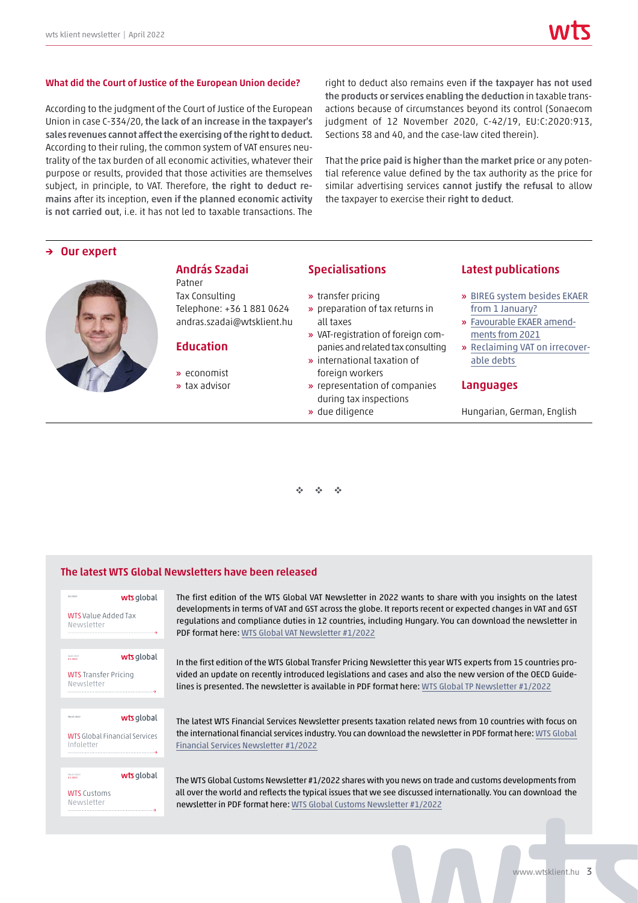#### What did the Court of Justice of the European Union decide?

According to the judgment of the Court of Justice of the European Union in case C-334/20, the lack of an increase in the taxpayer's sales revenues cannot affect the exercising of the right to deduct. According to their ruling, the common system of VAT ensures neutrality of the tax burden of all economic activities, whatever their purpose or results, provided that those activities are themselves subject, in principle, to VAT. Therefore, the right to deduct remains after its inception, even if the planned economic activity is not carried out, i.e. it has not led to taxable transactions. The

right to deduct also remains even if the taxpayer has not used the products or services enabling the deduction in taxable transactions because of circumstances beyond its control (Sonaecom judgment of 12 November 2020, C-42/19, EU:C:2020:913, Sections 38 and 40, and the case-law cited therein).

That the price paid is higher than the market price or any potential reference value defined by the tax authority as the price for similar advertising services cannot justify the refusal to allow the taxpayer to exercise their right to deduct.

#### → Our expert



András Szadai Patner Tax Consulting Telephone: +36 1 881 0624

andras.szadai@wtsklient.hu

#### Education

- » economist
- » tax advisor

#### Specialisations

- » transfer pricing » preparation of tax returns in
- all taxes » VAT-registration of foreign com-
- panies and related tax consulting
- » international taxation of foreign workers
- » representation of companies during tax inspections
- » due diligence

#### Latest publications

- » [BIREG system besides EKAER](https://wtsklient.hu/en/2021/03/23/bireg-system/)  from 1 January?
- » [Favourable EKAER amend](https://wtsklient.hu/en/2020/09/01/ekaer-amendments/)ments from 2021
- » [Reclaiming VAT on irrecover](https://wtsklient.hu/en/2020/01/14/irrecoverable-debts/)able debts

#### Languages

Hungarian, German, English

v v v

#### The latest WTS Global Newsletters have been released



The first edition of the WTS Global VAT Newsletter in 2022 wants to share with you insights on the latest developments in terms of VAT and GST across the globe. It reports recent or expected changes in VAT and GST regulations and compliance duties in 12 countries, including Hungary. You can download the newsletter in PDF format here[: WTS Global VAT Newsletter #1/2022](https://wtsklient.hu/wp-content/uploads/2022/03/wts-vat-newsletter-1-2022.pdf)

In the first edition of the WTS Global Transfer Pricing Newsletter this year WTS experts from 15 countries provided an update on recently introduced legislations and cases and also the new version of the OECD Guide-lines is presented. The newsletter is available in PDF format here: [WTS Global TP Newsletter #1/2022](https://wtsklient.hu/wp-content/uploads/2022/04/wts-newsletter-tp-1-2022.pdf)

The latest WTS Financial Services Newsletter presents taxation related news from 10 countries with focus on the international financial services industry. You can download the newsletter in PDF format here: [WTS Global](https://wtsklient.hu/wp-content/uploads/2022/03/wts-global-financial-services-newsletter-1-2022.pdf)  [Financial Services Newsletter #1/2022](https://wtsklient.hu/wp-content/uploads/2022/03/wts-global-financial-services-newsletter-1-2022.pdf)

The WTS Global Customs Newsletter #1/2022 shares with you news on trade and customs developments from all over the world and reflects the typical issues that we see discussed internationally. You can download the newsletter in PDF format here: [WTS Global Customs Newsletter #1/2022](https://wtsklient.hu/wp-content/uploads/2022/03/wts-global-customs-newsletter-1-2022.pdf)

www.wtsklient.hu 3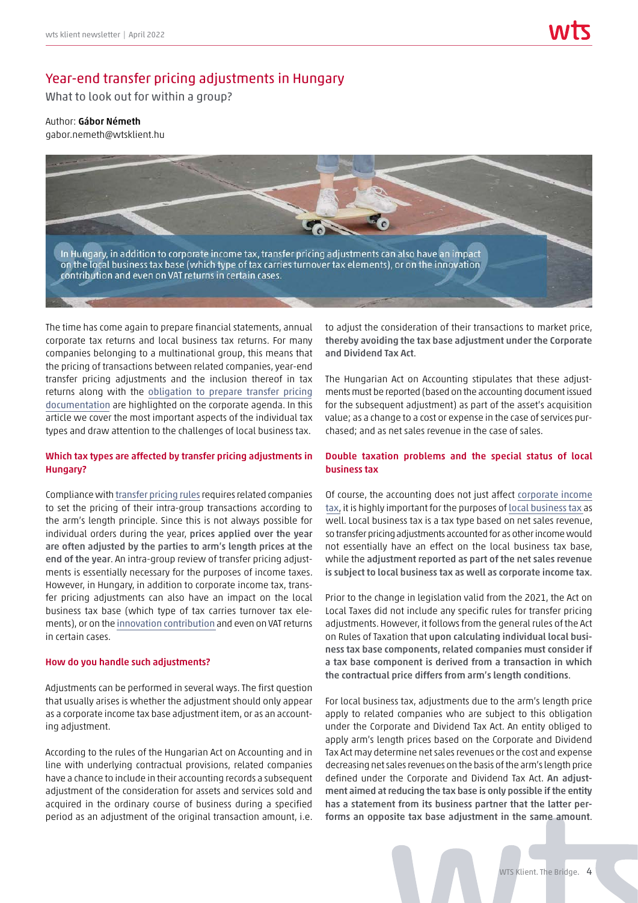## Year-end transfer pricing adjustments in Hungary

What to look out for within a group?

#### Author: Gábor Németh

gabor.nemeth@wtsklient.hu



The time has come again to prepare financial statements, annual corporate tax returns and local business tax returns. For many companies belonging to a multinational group, this means that the pricing of transactions between related companies, year-end transfer pricing adjustments and the inclusion thereof in tax returns along with the [obligation to prepare transfer pricing](https://wtsklient.hu/en/2019/05/07/new-transfer-pricing-documentation-decree/)  [documentation](https://wtsklient.hu/en/2019/05/07/new-transfer-pricing-documentation-decree/) are highlighted on the corporate agenda. In this article we cover the most important aspects of the individual tax types and draw attention to the challenges of local business tax.

#### Which tax types are affected by transfer pricing adjustments in Hungary?

Compliance with [transfer pricing rules](https://wtsklient.hu/en/2017/07/13/tp-policy/) requires related companies to set the pricing of their intra-group transactions according to the arm's length principle. Since this is not always possible for individual orders during the year, prices applied over the year are often adjusted by the parties to arm's length prices at the end of the year. An intra-group review of transfer pricing adjustments is essentially necessary for the purposes of income taxes. However, in Hungary, in addition to corporate income tax, transfer pricing adjustments can also have an impact on the local business tax base (which type of tax carries turnover tax elements), or on the [innovation contribution](https://wtsklient.hu/en/2019/02/05/innovation-contribution/) and even on VAT returns in certain cases.

#### How do you handle such adjustments?

Adjustments can be performed in several ways. The first question that usually arises is whether the adjustment should only appear as a corporate income tax base adjustment item, or as an accounting adjustment.

According to the rules of the Hungarian Act on Accounting and in line with underlying contractual provisions, related companies have a chance to include in their accounting records a subsequent adjustment of the consideration for assets and services sold and acquired in the ordinary course of business during a specified period as an adjustment of the original transaction amount, i.e. to adjust the consideration of their transactions to market price, thereby avoiding the tax base adjustment under the Corporate and Dividend Tax Act.

The Hungarian Act on Accounting stipulates that these adjustments must be reported (based on the accounting document issued for the subsequent adjustment) as part of the asset's acquisition value; as a change to a cost or expense in the case of services purchased; and as net sales revenue in the case of sales.

#### Double taxation problems and the special status of local business tax

Of course, the accounting does not just affect [corporate income](https://wtsklient.hu/en/2017/09/12/corporate-tax-rate/) [tax](https://wtsklient.hu/en/2017/09/12/corporate-tax-rate/), it is highly important for the purposes of [local business tax](https://wtsklient.hu/en/2017/08/22/the-local-business-tax/) as well. Local business tax is a tax type based on net sales revenue, so transfer pricing adjustments accounted for as other income would not essentially have an effect on the local business tax base, while the adjustment reported as part of the net sales revenue is subject to local business tax as well as corporate income tax.

Prior to the change in legislation valid from the 2021, the Act on Local Taxes did not include any specific rules for transfer pricing adjustments. However, it follows from the general rules of the Act on Rules of Taxation that upon calculating individual local business tax base components, related companies must consider if a tax base component is derived from a transaction in which the contractual price differs from arm's length conditions.

For local business tax, adjustments due to the arm's length price apply to related companies who are subject to this obligation under the Corporate and Dividend Tax Act. An entity obliged to apply arm's length prices based on the Corporate and Dividend Tax Act may determine net sales revenues or the cost and expense decreasing net sales revenues on the basis of the arm's length price defined under the Corporate and Dividend Tax Act. An adjustment aimed at reducing the tax base is only possible if the entity has a statement from its business partner that the latter performs an opposite tax base adjustment in the same amount.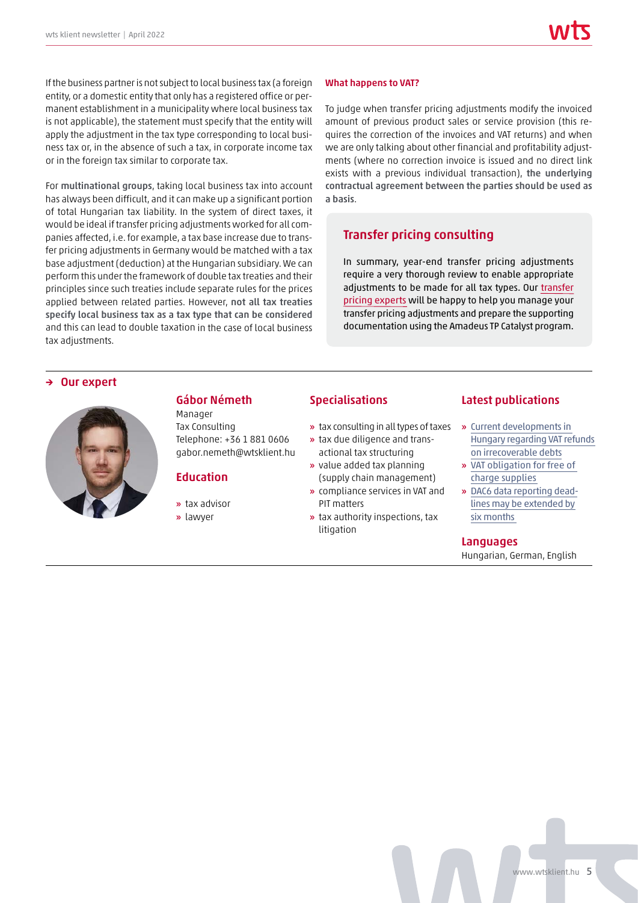If the business partner is not subject to local business tax (a foreign entity, or a domestic entity that only has a registered office or permanent establishment in a municipality where local business tax is not applicable), the statement must specify that the entity will apply the adjustment in the tax type corresponding to local business tax or, in the absence of such a tax, in corporate income tax or in the foreign tax similar to corporate tax.

For multinational groups, taking local business tax into account has always been difficult, and it can make up a significant portion of total Hungarian tax liability. In the system of direct taxes, it would be ideal if transfer pricing adjustments worked for all companies affected, i.e. for example, a tax base increase due to transfer pricing adjustments in Germany would be matched with a tax base adjustment (deduction) at the Hungarian subsidiary. We can perform this under the framework of double tax treaties and their principles since such treaties include separate rules for the prices applied between related parties. However, not all tax treaties specify local business tax as a tax type that can be considered and this can lead to double taxation in the case of local business tax adjustments.

#### What happens to VAT?

To judge when transfer pricing adjustments modify the invoiced amount of previous product sales or service provision (this requires the correction of the invoices and VAT returns) and when we are only talking about other financial and profitability adjustments (where no correction invoice is issued and no direct link exists with a previous individual transaction), the underlying contractual agreement between the parties should be used as a basis.

## Transfer pricing consulting

In summary, year-end transfer pricing adjustments require a very thorough review to enable appropriate adjustments to be made for all tax types. Our [transfer](https://wtsklient.hu/en/services/transfer-pricing-consulting/) [pricing experts](https://wtsklient.hu/en/services/transfer-pricing-consulting/) will be happy to help you manage your transfer pricing adjustments and prepare the supporting documentation using the Amadeus TP Catalyst program.

→ Our expert



## Gábor Németh

Manager Tax Consulting Telephone: +36 1 881 0606 gabor.nemeth@wtsklient.hu

## **Education**

- » tax advisor
- » lawyer

#### Specialisations

- » tax consulting in all types of taxes
- » tax due diligence and transactional tax structuring
- » value added tax planning (supply chain management)
- » compliance services in VAT and PIT matters
- » tax authority inspections, tax litigation

#### Latest publications

- » Current developments in [Hungary regarding VAT refunds](https://wtsklient.hu/en/2021/08/24/vat-refunds-on-irrecoverable-debts/) on irrecoverable debts
- » [VAT obligation for free of](https://wtsklient.hu/en/2020/10/27/free-of-charge-supplies/)  charge supplies
- » [DAC6 data reporting dead](https://wtsklient.hu/en/2020/06/25/dac6-data-reporting-deadlines/)lines may be extended by six months

#### Languages

Hungarian, German, English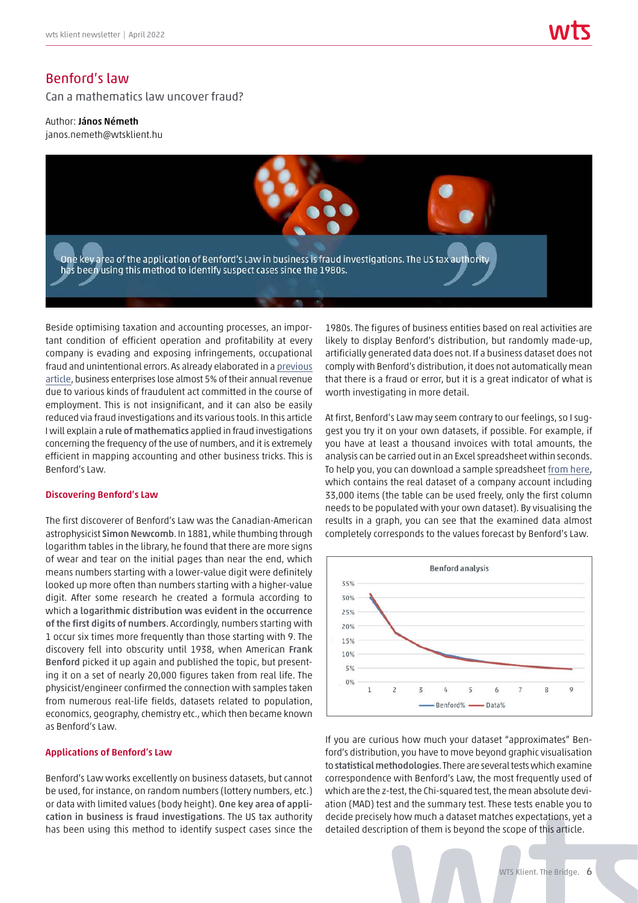## Benford's law

Can a mathematics law uncover fraud?

Author: János Németh janos.nemeth@wtsklient.hu



Beside optimising taxation and accounting processes, an important condition of efficient operation and profitability at every company is evading and exposing infringements, occupational fraud and unintentional errors. As already elaborated in a [previous](https://wtsklient.hu/en/2021/04/06/whistleblowing-system/) [article](https://wtsklient.hu/en/2021/04/06/whistleblowing-system/), business enterprises lose almost 5% of their annual revenue due to various kinds of fraudulent act committed in the course of employment. This is not insignificant, and it can also be easily reduced via fraud investigations and its various tools. In this article I will explain a rule of mathematics applied in fraud investigations concerning the frequency of the use of numbers, and it is extremely efficient in mapping accounting and other business tricks. This is Benford's Law.

#### Discovering Benford's Law

The first discoverer of Benford's Law was the Canadian-American astrophysicist Simon Newcomb. In 1881, while thumbing through logarithm tables in the library, he found that there are more signs of wear and tear on the initial pages than near the end, which means numbers starting with a lower-value digit were definitely looked up more often than numbers starting with a higher-value digit. After some research he created a formula according to which a logarithmic distribution was evident in the occurrence of the first digits of numbers. Accordingly, numbers starting with 1 occur six times more frequently than those starting with 9. The discovery fell into obscurity until 1938, when American Frank Benford picked it up again and published the topic, but presenting it on a set of nearly 20,000 figures taken from real life. The physicist/engineer confirmed the connection with samples taken from numerous real-life fields, datasets related to population, economics, geography, chemistry etc., which then became known as Benford's Law.

#### Applications of Benford's Law

Benford's Law works excellently on business datasets, but cannot be used, for instance, on random numbers (lottery numbers, etc.) or data with limited values (body height). One key area of application in business is fraud investigations. The US tax authority has been using this method to identify suspect cases since the

1980s. The figures of business entities based on real activities are likely to display Benford's distribution, but randomly made-up, artificially generated data does not. If a business dataset does not comply with Benford's distribution, it does not automatically mean that there is a fraud or error, but it is a great indicator of what is worth investigating in more detail.

At first, Benford's Law may seem contrary to our feelings, so I suggest you try it on your own datasets, if possible. For example, if you have at least a thousand invoices with total amounts, the analysis can be carried out in an Excel spreadsheet within seconds. To help you, you can download a sample spreadsheet [from here](https://wtsklient.hu/wp-content/uploads/2022/03/benford-sample.xlsx), which contains the real dataset of a company account including 33,000 items (the table can be used freely, only the first column needs to be populated with your own dataset). By visualising the results in a graph, you can see that the examined data almost completely corresponds to the values forecast by Benford's Law.



If you are curious how much your dataset "approximates" Benford's distribution, you have to move beyond graphic visualisation to statistical methodologies. There are several tests which examine correspondence with Benford's Law, the most frequently used of which are the z-test, the Chi-squared test, the mean absolute deviation (MAD) test and the summary test. These tests enable you to decide precisely how much a dataset matches expectations, yet a detailed description of them is beyond the scope of this article.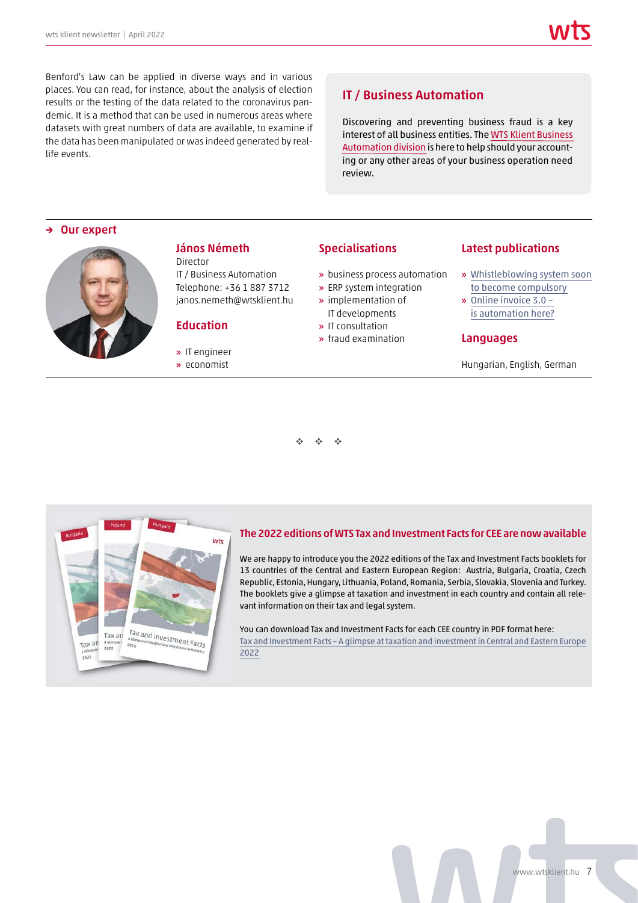Benford's Law can be applied in diverse ways and in various places. You can read, for instance, about the analysis of election results or the testing of the data related to the coronavirus pandemic. It is a method that can be used in numerous areas where datasets with great numbers of data are available, to examine if the data has been manipulated or was indeed generated by reallife events.

## IT / Business Automation

Discovering and preventing business fraud is a key interest of all business entities. The [WTS Klient Business](https://wtsklient.hu/en/services/it-business-automation/) [Automation division](https://wtsklient.hu/en/services/it-business-automation/) is here to help should your accounting or any other areas of your business operation need review.

#### → Our expert



## János Németh

Director IT / Business Automation Telephone: +36 1 887 3712 janos.nemeth@wtsklient.hu

## **Education**

- » IT engineer » economist
- 

#### Specialisations

- » business process automation
- » ERP system integration
- » implementation of IT developments
- » IT consultation
- » fraud examination

## Latest publications

- » [Whistleblowing system soon](https://wtsklient.hu/en/2021/04/06/whistleblowing-system/)  to become compulsory
- » [Online invoice 3.0](https://wtsklient.hu/en/2020/11/17/automation/)  is automation here?

#### Languages

Hungarian, English, German

 $\mathbf{v} \cdot \mathbf{v} = \mathbf{v} \cdot \mathbf{v}$ 



#### [The 2022 editions of WTS Tax and Investment Facts for CEE are now available](https://wtsklient.hu/en/publications/tax-and-investment-facts/)

We are happy to introduce you the 2022 editions of the Tax and Investment Facts booklets for 13 countries of the Central and Eastern European Region: Austria, Bulgaria, Croatia, Czech Republic, Estonia, Hungary, Lithuania, Poland, Romania, Serbia, Slovakia, Slovenia and Turkey. The booklets give a glimpse at taxation and investment in each country and contain all relevant information on their tax and legal system.

You can download Tax and Investment Facts for each CEE country in PDF format here: Tax and Investment Facts – A glimpse at taxation and investment in Central and Eastern Europe 2022

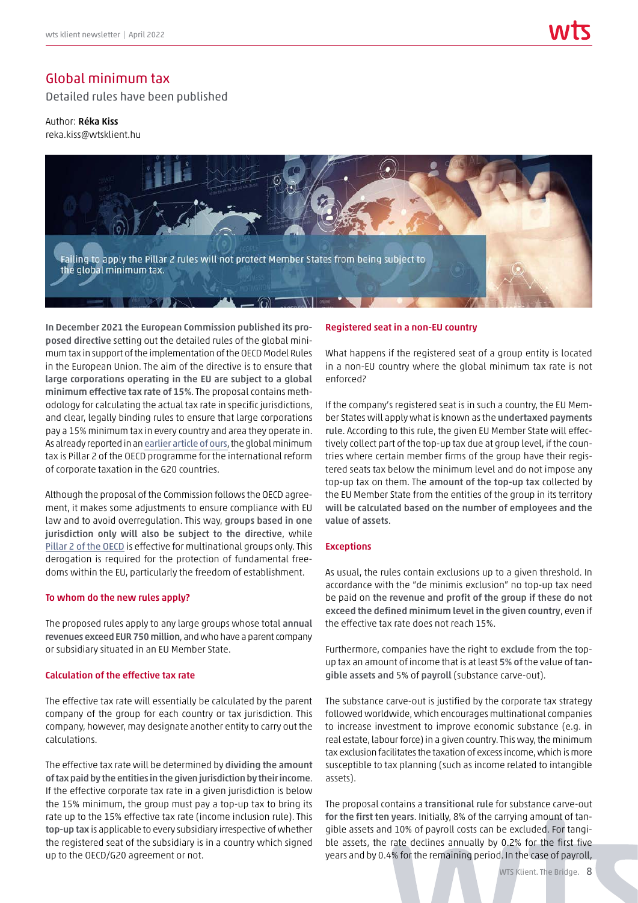## Global minimum tax

Detailed rules have been published

Author: Réka Kiss reka.kiss@wtsklient.hu



In December 2021 the European Commission published its proposed directive setting out the detailed rules of the global minimum tax in support of the implementation of the OECD Model Rules in the European Union. The aim of the directive is to ensure that large corporations operating in the EU are subject to a global minimum effective tax rate of 15%. The proposal contains methodology for calculating the actual tax rate in specific jurisdictions, and clear, legally binding rules to ensure that large corporations pay a 15% minimum tax in every country and area they operate in. As already reported in an [earlier article of ours](https://wtsklient.hu/en/2021/11/30/global-minimum-tax/), the global minimum tax is Pillar 2 of the OECD programme for the international reform of corporate taxation in the G20 countries.

Although the proposal of the Commission follows the OECD agreement, it makes some adjustments to ensure compliance with EU law and to avoid overregulation. This way, groups based in one jurisdiction only will also be subject to the directive, while [Pillar 2 of the OECD](https://wtsklient.hu/en/2019/12/12/global-anti-base-erosion/) is effective for multinational groups only. This derogation is required for the protection of fundamental freedoms within the EU, particularly the freedom of establishment.

#### To whom do the new rules apply?

The proposed rules apply to any large groups whose total annual revenues exceed EUR 750 million, and who have a parent company or subsidiary situated in an EU Member State.

#### Calculation of the effective tax rate

The effective tax rate will essentially be calculated by the parent company of the group for each country or tax jurisdiction. This company, however, may designate another entity to carry out the calculations.

The effective tax rate will be determined by dividing the amount of tax paid by the entities in the given jurisdiction by their income. If the effective corporate tax rate in a given jurisdiction is below the 15% minimum, the group must pay a top-up tax to bring its rate up to the 15% effective tax rate (income inclusion rule). This top-up tax is applicable to every subsidiary irrespective of whether the registered seat of the subsidiary is in a country which signed up to the OECD/G20 agreement or not.

#### Registered seat in a non-EU country

What happens if the registered seat of a group entity is located in a non-EU country where the global minimum tax rate is not enforced?

If the company's registered seat is in such a country, the EU Member States will apply what is known as the undertaxed payments rule. According to this rule, the given EU Member State will effectively collect part of the top-up tax due at group level, if the countries where certain member firms of the group have their registered seats tax below the minimum level and do not impose any top-up tax on them. The amount of the top-up tax collected by the EU Member State from the entities of the group in its territory will be calculated based on the number of employees and the value of assets.

#### **Exceptions**

As usual, the rules contain exclusions up to a given threshold. In accordance with the "de minimis exclusion" no top-up tax need be paid on the revenue and profit of the group if these do not exceed the defined minimum level in the given country, even if the effective tax rate does not reach 15%.

Furthermore, companies have the right to exclude from the topup tax an amount of income that is at least 5% of the value of tangible assets and 5% of payroll (substance carve-out).

The substance carve-out is justified by the corporate tax strategy followed worldwide, which encourages multinational companies to increase investment to improve economic substance (e.g. in real estate, labour force) in a given country. This way, the minimum tax exclusion facilitates the taxation of excess income, which is more susceptible to tax planning (such as income related to intangible assets).

The proposal contains a transitional rule for substance carve-out for the first ten years. Initially, 8% of the carrying amount of tangible assets and 10% of payroll costs can be excluded. For tangible assets, the rate declines annually by 0.2% for the first five years and by 0.4% for the remaining period. In the case of payroll,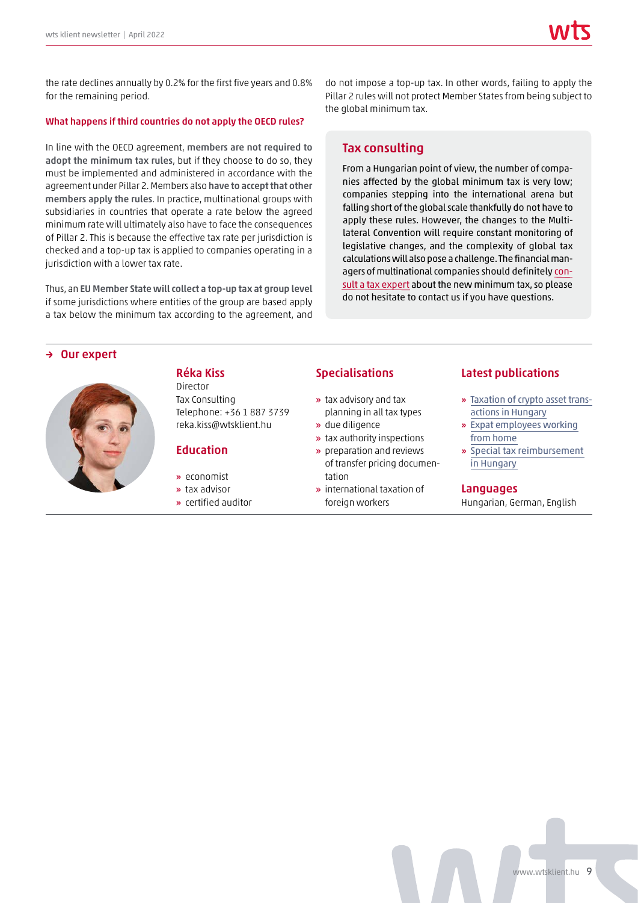the rate declines annually by 0.2% for the first five years and 0.8% for the remaining period.

#### What happens if third countries do not apply the OECD rules?

In line with the OECD agreement, members are not required to adopt the minimum tax rules, but if they choose to do so, they must be implemented and administered in accordance with the agreement under Pillar 2. Members also have to accept that other members apply the rules. In practice, multinational groups with subsidiaries in countries that operate a rate below the agreed minimum rate will ultimately also have to face the consequences of Pillar 2. This is because the effective tax rate per jurisdiction is checked and a top-up tax is applied to companies operating in a jurisdiction with a lower tax rate.

Thus, an EU Member State will collect a top-up tax at group level if some jurisdictions where entities of the group are based apply a tax below the minimum tax according to the agreement, and

do not impose a top-up tax. In other words, failing to apply the Pillar 2 rules will not protect Member States from being subject to the global minimum tax.

#### Tax consulting

From a Hungarian point of view, the number of companies affected by the global minimum tax is very low; companies stepping into the international arena but falling short of the global scale thankfully do not have to apply these rules. However, the changes to the Multilateral Convention will require constant monitoring of legislative changes, and the complexity of global tax calculations will also pose a challenge. The financial managers of multinational companies should definitely [con](https://wtsklient.hu/en/services/tax-consulting/)[sult a tax expert](https://wtsklient.hu/en/services/tax-consulting/) about the new minimum tax, so please do not hesitate to contact us if you have questions.

#### Our expert



## Réka Kiss

Director Tax Consulting Telephone: +36 1 887 3739 reka.kiss@wtsklient.hu

#### **Education**

- » economist
- » tax advisor
- » certified auditor

#### Specialisations

- » tax advisory and tax planning in all tax types
- » due diligence
- » tax authority inspections
- » preparation and reviews of transfer pricing documentation
- » international taxation of foreign workers

#### Latest publications

- » [Taxation of crypto asset trans](https://wtsklient.hu/en/2021/06/01/crypto-asset-transactions/)actions in Hungary
- » [Expat employees working](https://wtsklient.hu/en/2020/08/04/expat-employees-working-from-home/)  from home
- » [Special tax reimbursement](https://wtsklient.hu/en/2019/08/27/special-tax-reimbursement/)  in Hungary

#### Languages

Hungarian, German, English